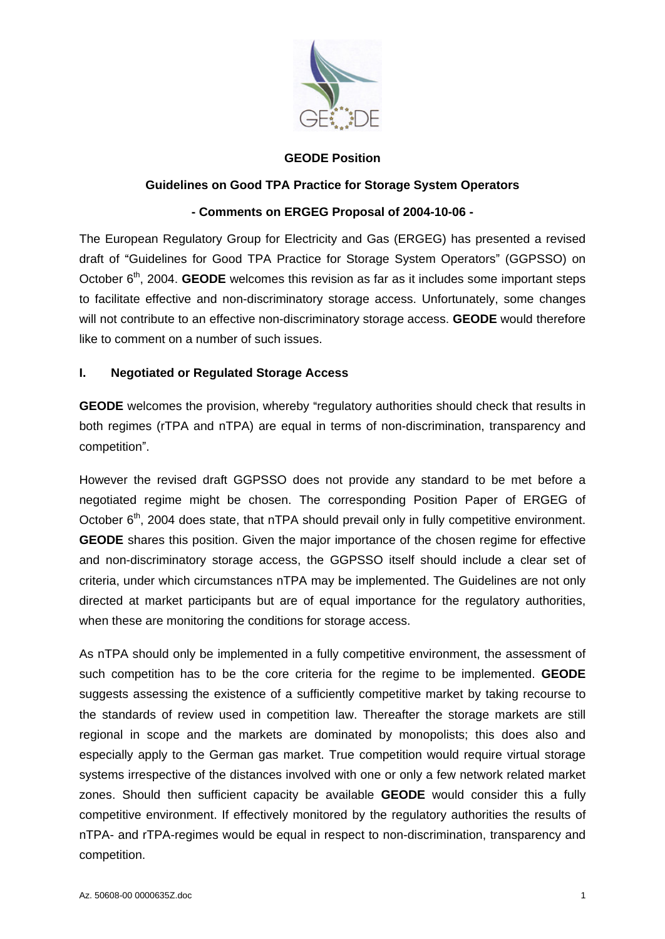

#### **GEODE Position**

## **Guidelines on Good TPA Practice for Storage System Operators**

## **- Comments on ERGEG Proposal of 2004-10-06 -**

The European Regulatory Group for Electricity and Gas (ERGEG) has presented a revised draft of "Guidelines for Good TPA Practice for Storage System Operators" (GGPSSO) on October 6<sup>th</sup>, 2004. GEODE welcomes this revision as far as it includes some important steps to facilitate effective and non-discriminatory storage access. Unfortunately, some changes will not contribute to an effective non-discriminatory storage access. **GEODE** would therefore like to comment on a number of such issues.

## **I. Negotiated or Regulated Storage Access**

**GEODE** welcomes the provision, whereby "regulatory authorities should check that results in both regimes (rTPA and nTPA) are equal in terms of non-discrimination, transparency and competition .

However the revised draft GGPSSO does not provide any standard to be met before a negotiated regime might be chosen. The corresponding Position Paper of ERGEG of October 6<sup>th</sup>, 2004 does state, that nTPA should prevail only in fully competitive environment. **GEODE** shares this position. Given the major importance of the chosen regime for effective and non-discriminatory storage access, the GGPSSO itself should include a clear set of criteria, under which circumstances nTPA may be implemented. The Guidelines are not only directed at market participants but are of equal importance for the regulatory authorities, when these are monitoring the conditions for storage access.

CLE, and CLE is a completion<br>
Contained a Comparison of TRA Practice for Storage System Operators<br>
The European Requisitory Group for Electrical proposed of 2004-10-05 -<br>
The European Requisitory Group for Breatistic for S As nTPA should only be implemented in a fully competitive environment, the assessment of such competition has to be the core criteria for the regime to be implemented. **GEODE** suggests assessing the existence of a sufficiently competitive market by taking recourse to the standards of review used in competition law. Thereafter the storage markets are still regional in scope and the markets are dominated by monopolists; this does also and especially apply to the German gas market. True competition would require virtual storage systems irrespective of the distances involved with one or only a few network related market zones. Should then sufficient capacity be available **GEODE** would consider this a fully competitive environment. If effectively monitored by the regulatory authorities the results of nTPA- and rTPA-regimes would be equal in respect to non-discrimination, transparency and competition.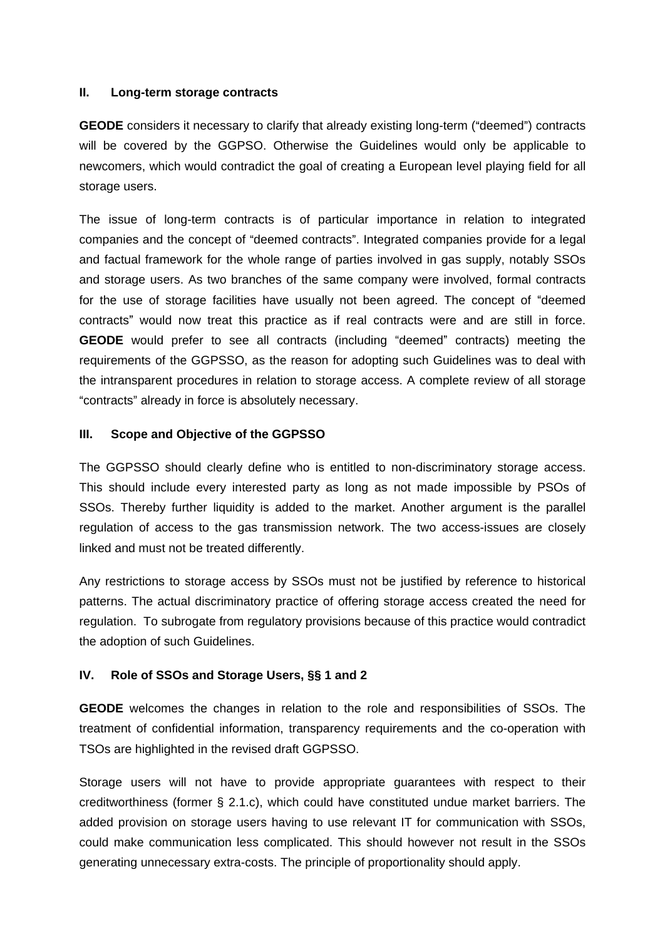#### **II. Long-term storage contracts**

**GEODE** considers it necessary to clarify that already existing long-term ("deemed") contracts will be covered by the GGPSO. Otherwise the Guidelines would only be applicable to newcomers, which would contradict the goal of creating a European level playing field for all storage users.

The issue of long-term contracts is of particular importance in relation to integrated companies and the concept of "deemed contracts". Integrated companies provide for a legal and factual framework for the whole range of parties involved in gas supply, notably SSOs and storage users. As two branches of the same company were involved, formal contracts for the use of storage facilities have usually not been agreed. The concept of "deemed contracts" would now treat this practice as if real contracts were and are still in force. **GEODE** would prefer to see all contracts (including "deemed" contracts) meeting the requirements of the GGPSSO, as the reason for adopting such Guidelines was to deal with the intransparent procedures in relation to storage access. A complete review of all storage "contracts" already in force is absolutely necessary.

## **III. Scope and Objective of the GGPSSO**

The GGPSSO should clearly define who is entitled to non-discriminatory storage access. This should include every interested party as long as not made impossible by PSOs of SSOs. Thereby further liquidity is added to the market. Another argument is the parallel regulation of access to the gas transmission network. The two access-issues are closely linked and must not be treated differently.

Any restrictions to storage access by SSOs must not be justified by reference to historical patterns. The actual discriminatory practice of offering storage access created the need for regulation. To subrogate from regulatory provisions because of this practice would contradict the adoption of such Guidelines.

## **IV. Role of SSOs and Storage Users, §§ 1 and 2**

**GEODE** welcomes the changes in relation to the role and responsibilities of SSOs. The treatment of confidential information, transparency requirements and the co-operation with TSOs are highlighted in the revised draft GGPSSO.

Storage users will not have to provide appropriate guarantees with respect to their creditworthiness (former § 2.1.c), which could have constituted undue market barriers. The added provision on storage users having to use relevant IT for communication with SSOs, could make communication less complicated. This should however not result in the SSOs generating unnecessary extra-costs. The principle of proportionality should apply.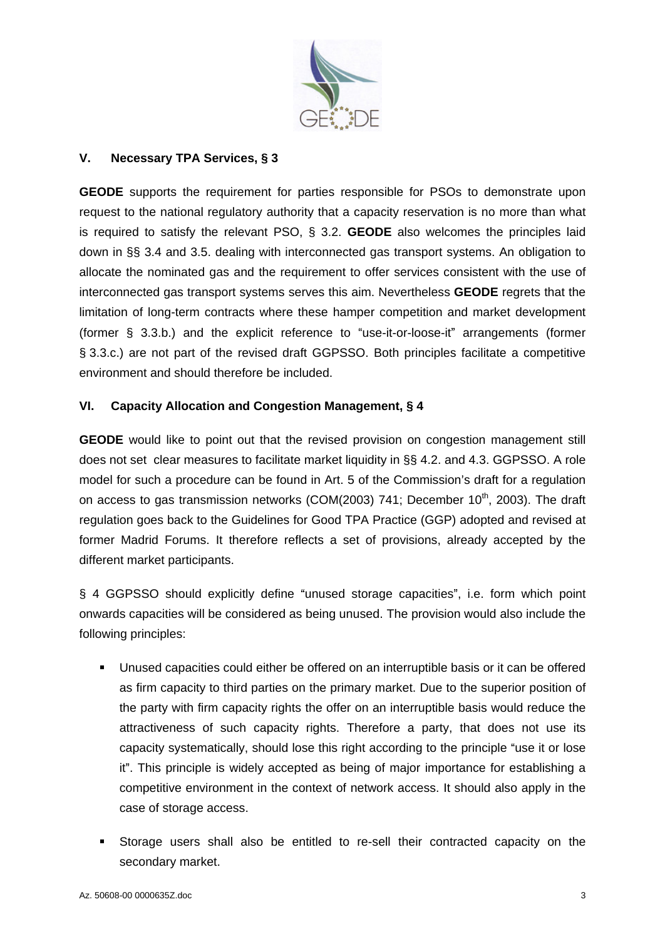

## **V. Necessary TPA Services, § 3**

**V. Nocassary TPA Services, \$3**<br> **GEODE** supports the requirement for parties responsible for PSOs to demonstrate upon<br>
request to the nation tell guistary authority that a capacity reservation is no more than what<br>
is re **GEODE** supports the requirement for parties responsible for PSOs to demonstrate upon request to the national requiatory authority that a capacity reservation is no more than what is required to satisfy the relevant PSO, § 3.2. **GEODE** also welcomes the principles laid down in §§ 3.4 and 3.5. dealing with interconnected gas transport systems. An obligation to allocate the nominated gas and the requirement to offer services consistent with the use of interconnected gas transport systems serves this aim. Nevertheless **GEODE** regrets that the limitation of long-term contracts where these hamper competition and market development (former  $\S$  3.3.b.) and the explicit reference to "use-it-or-loose-it" arrangements (former § 3.3.c.) are not part of the revised draft GGPSSO. Both principles facilitate a competitive environment and should therefore be included.

## **VI. Capacity Allocation and Congestion Management, § 4**

**GEODE** would like to point out that the revised provision on congestion management still does not set clear measures to facilitate market liquidity in §§ 4.2. and 4.3. GGPSSO. A role model for such a procedure can be found in Art. 5 of the Commission's draft for a regulation on access to gas transmission networks (COM(2003) 741; December 10<sup>th</sup>, 2003). The draft  $th$  2002) The droft , 2003). The draft regulation goes back to the Guidelines for Good TPA Practice (GGP) adopted and revised at former Madrid Forums. It therefore reflects a set of provisions, already accepted by the different market participants.

§ 4 GGPSSO should explicitly define "unused storage capacities", i.e. form which point onwards capacities will be considered as being unused. The provision would also include the following principles:

- **Unused capacities could either be offered on an interruptible basis or it can be offered** as firm capacity to third parties on the primary market. Due to the superior position of the party with firm capacity rights the offer on an interruptible basis would reduce the attractiveness of such capacity rights. Therefore a party, that does not use its capacity systematically, should lose this right according to the principle "use it or lose it". This principle is widely accepted as being of major importance for establishing a competitive environment in the context of network access. It should also apply in the case of storage access.
- Storage users shall also be entitled to re-sell their contracted capacity on the secondary market.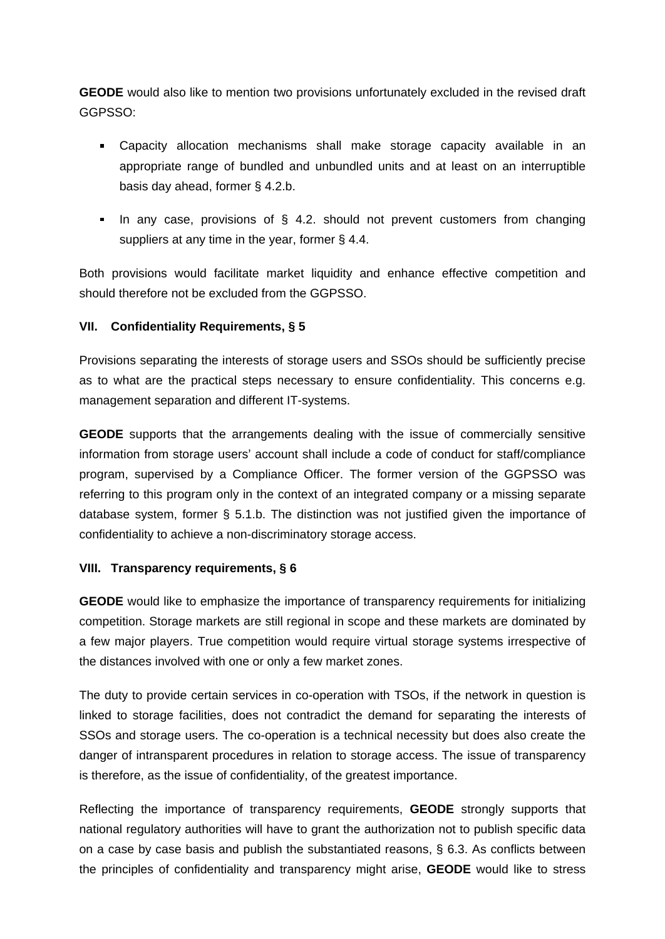**GEODE** would also like to mention two provisions unfortunately excluded in the revised draft GGPSSO:

- Capacity allocation mechanisms shall make storage capacity available in an appropriate range of bundled and unbundled units and at least on an interruptible basis day ahead, former § 4.2.b.
- In any case, provisions of  $\S$  4.2. should not prevent customers from changing suppliers at any time in the year, former § 4.4.

Both provisions would facilitate market liquidity and enhance effective competition and should therefore not be excluded from the GGPSSO.

# **VII. Confidentiality Requirements, § 5**

Provisions separating the interests of storage users and SSOs should be sufficiently precise as to what are the practical steps necessary to ensure confidentiality. This concerns e.g. management separation and different IT-systems.

**GEODE** supports that the arrangements dealing with the issue of commercially sensitive information from storage users' account shall include a code of conduct for staff/compliance program, supervised by a Compliance Officer. The former version of the GGPSSO was referring to this program only in the context of an integrated company or a missing separate database system, former § 5.1.b. The distinction was not justified given the importance of confidentiality to achieve a non-discriminatory storage access.

## **VIII. Transparency requirements, § 6**

**GEODE** would like to emphasize the importance of transparency requirements for initializing competition. Storage markets are still regional in scope and these markets are dominated by a few major players. True competition would require virtual storage systems irrespective of the distances involved with one or only a few market zones.

The duty to provide certain services in co-operation with TSOs, if the network in question is linked to storage facilities, does not contradict the demand for separating the interests of SSOs and storage users. The co-operation is a technical necessity but does also create the danger of intransparent procedures in relation to storage access. The issue of transparency is therefore, as the issue of confidentiality, of the greatest importance.

Reflecting the importance of transparency requirements, **GEODE** strongly supports that national regulatory authorities will have to grant the authorization not to publish specific data on a case by case basis and publish the substantiated reasons,  $\S$  6.3. As conflicts between the principles of confidentiality and transparency might arise, **GEODE** would like to stress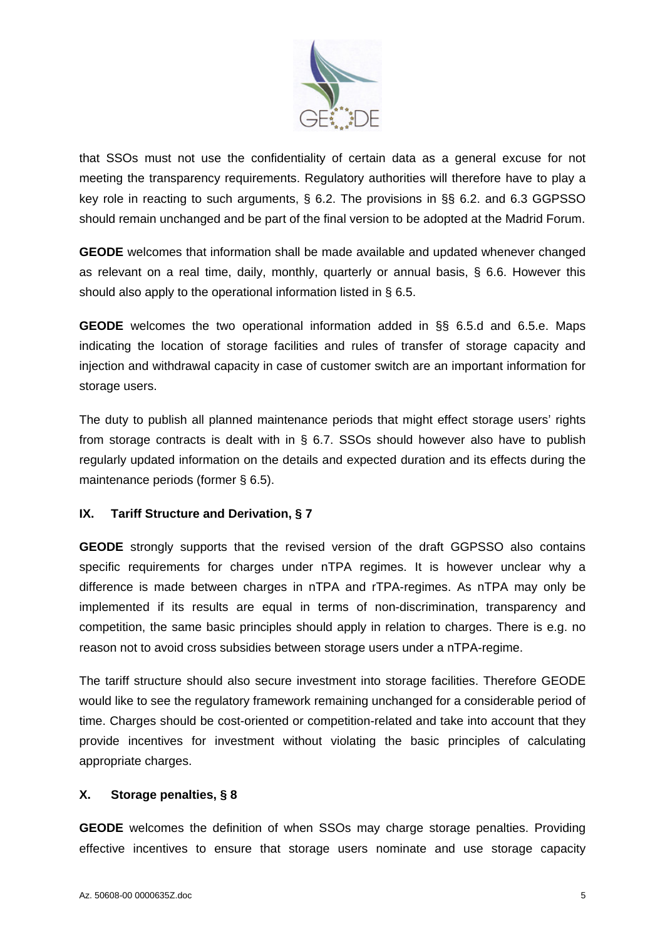

that SSOs must not use the confidentiality of certain data as a general excuse for not meeting the transparency requirements. Regulatory authorities will therefore have to play a key role in reacting to such arguments, § 6.2. The provisions in §§ 6.2. and 6.3 GGPSSO should remain unchanged and be part of the final version to be adopted at the Madrid Forum.

**GEODE** welcomes that information shall be made available and updated whenever changed as relevant on a real time, daily, monthly, quarterly or annual basis, § 6.6. However this should also apply to the operational information listed in § 6.5.

**GEODE** welcomes the two operational information added in §§ 6.5.d and 6.5.e. Maps indicating the location of storage facilities and rules of transfer of storage capacity and injection and withdrawal capacity in case of customer switch are an important information for storage users.

The duty to publish all planned maintenance periods that might effect storage users' rights from storage contracts is dealt with in § 6.7. SSOs should however also have to publish regularly updated information on the details and expected duration and its effects during the maintenance periods (former § 6.5).

## **IX. Tariff Structure and Derivation, § 7**

that SSOs must not use the confidential Vid critics.<sup>20</sup><br>
What is a general of the transparency requirements. Regulatory subtrivials will therefore have to play a<br>meeting the transparency requirements. Regulatory subtrivia **GEODE** strongly supports that the revised version of the draft GGPSSO also contains specific requirements for charges under nTPA regimes. It is however unclear why a difference is made between charges in nTPA and rTPA-regimes. As nTPA may only be implemented if its results are equal in terms of non-discrimination, transparency and competition, the same basic principles should apply in relation to charges. There is e.g. no reason not to avoid cross subsidies between storage users under a nTPA-regime.

The tariff structure should also secure investment into storage facilities. Therefore GEODE would like to see the regulatory framework remaining unchanged for a considerable period of time. Charges should be cost-oriented or competition-related and take into account that they provide incentives for investment without violating the basic principles of calculating appropriate charges.

## **X. Storage penalties, § 8**

**GEODE** welcomes the definition of when SSOs may charge storage penalties. Providing effective incentives to ensure that storage users nominate and use storage capacity